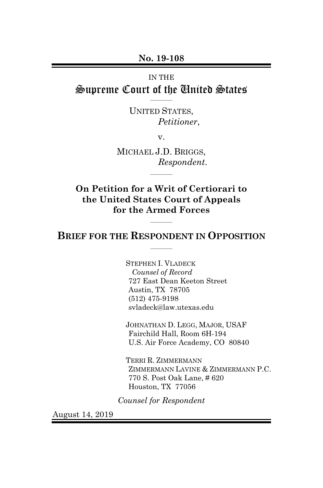**No. 19-108**

# IN THE Supreme Court of the United States

UNITED STATES, *Petitioner*,

 $\overline{\phantom{a}}$ 

v.

MICHAEL J.D. BRIGGS, *Respondent*.

 $\overline{\phantom{a}}$ 

**On Petition for a Writ of Certiorari to the United States Court of Appeals for the Armed Forces**

### **BRIEF FOR THE RESPONDENT IN OPPOSITION**  $\overline{\phantom{a}}$

 $\overline{\phantom{a}}$ 

STEPHEN I. VLADECK *Counsel of Record* 727 East Dean Keeton Street Austin, TX 78705 (512) 475-9198 svladeck@law.utexas.edu

JOHNATHAN D. LEGG, MAJOR, USAF Fairchild Hall, Room 6H-194 U.S. Air Force Academy, CO 80840

TERRI R. ZIMMERMANN ZIMMERMANN LAVINE & ZIMMERMANN P.C. 770 S. Post Oak Lane, # 620 Houston, TX 77056

*Counsel for Respondent*

August 14, 2019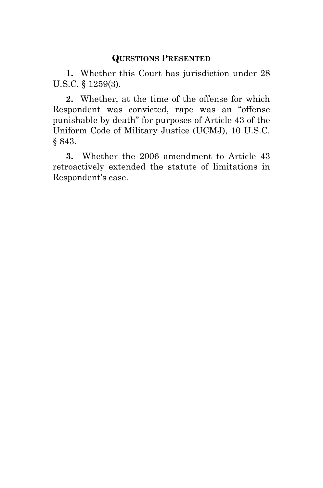## **QUESTIONS PRESENTED**

<span id="page-1-0"></span>**1.** Whether this Court has jurisdiction under 28 U.S.C. § 1259(3).

**2.** Whether, at the time of the offense for which Respondent was convicted, rape was an "offense punishable by death" for purposes of Article 43 of the Uniform Code of Military Justice (UCMJ), 10 U.S.C. § 843.

**3.** Whether the 2006 amendment to Article 43 retroactively extended the statute of limitations in Respondent's case.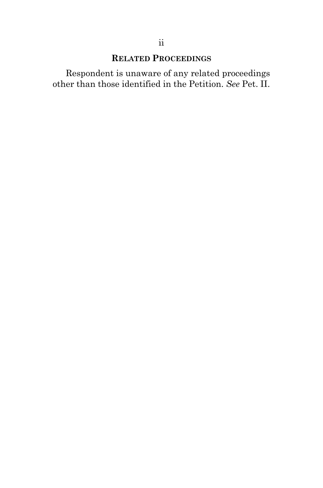# **RELATED PROCEEDINGS**

<span id="page-2-0"></span>Respondent is unaware of any related proceedings other than those identified in the Petition. *See* Pet. II.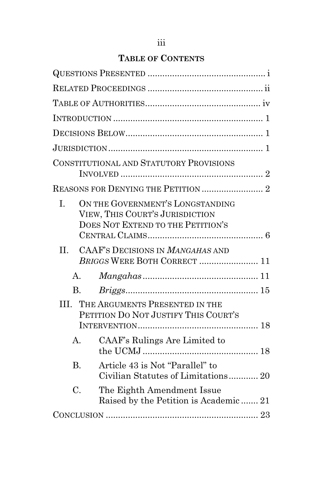# **TABLE OF CONTENTS**

|                | CONSTITUTIONAL AND STATUTORY PROVISIONS                                                                  |  |
|----------------|----------------------------------------------------------------------------------------------------------|--|
|                |                                                                                                          |  |
| L.             | ON THE GOVERNMENT'S LONGSTANDING<br>VIEW, THIS COURT'S JURISDICTION<br>DOES NOT EXTEND TO THE PETITION'S |  |
| $\Pi$ .        | CAAF'S DECISIONS IN MANGAHAS AND<br>BRIGGS WERE BOTH CORRECT  11                                         |  |
| A.             | $Mangahas \dots 11$                                                                                      |  |
| $B_{\cdot}$    |                                                                                                          |  |
| III.           | THE ARGUMENTS PRESENTED IN THE<br>PETITION DO NOT JUSTIFY THIS COURT'S                                   |  |
| $A_{\cdot}$    | CAAF's Rulings Are Limited to                                                                            |  |
| $\mathbf{B}$ . | Article 43 is Not "Parallel" to<br>Civilian Statutes of Limitations 20                                   |  |
| C.             | The Eighth Amendment Issue<br>Raised by the Petition is Academic 21                                      |  |
|                |                                                                                                          |  |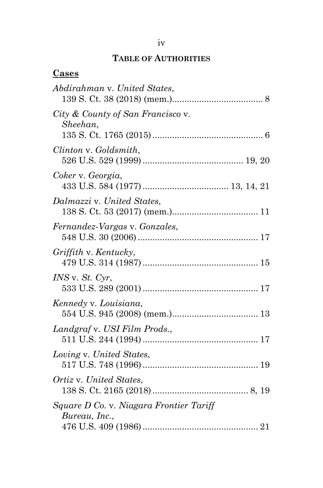# **TABLE OF AUTHORITIES**

### <span id="page-4-0"></span>**Cases**

| Abdirahman v. United States,                             |
|----------------------------------------------------------|
| City & County of San Francisco v.<br>Sheehan,            |
| Clinton v. Goldsmith,                                    |
| Coker v. Georgia,                                        |
| Dalmazzi v. United States,                               |
| Fernandez-Vargas v. Gonzales,                            |
| Griffith v. Kentucky,                                    |
| $INS$ v. $St.$ Cyr,                                      |
| Kennedy v. Louisiana,                                    |
| Landgraf v. USI Film Prods.,                             |
| Loving v. United States,                                 |
| Ortiz v. United States,                                  |
| Square D Co. v. Niagara Frontier Tariff<br>Bureau, Inc., |
|                                                          |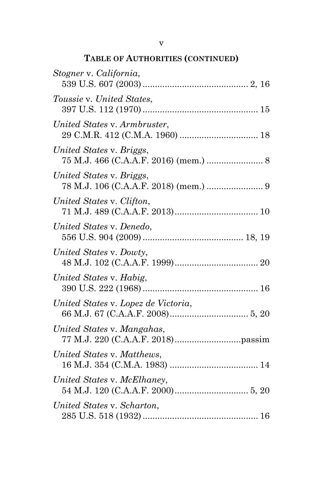# **TABLE OF AUTHORITIES (CONTINUED)**

| Stogner v. California,              |
|-------------------------------------|
| Toussie v. United States,           |
| United States v. Armbruster,        |
| United States v. Briggs,            |
| United States v. Briggs,            |
| United States v. Clifton,           |
| United States v. Denedo,            |
| United States v. Dowty,             |
| United States v. Habig,             |
| United States v. Lopez de Victoria, |
| United States v. Mangahas,          |
| United States v. Matthews,          |
| United States v. McElhaney,         |
| United States v. Scharton,          |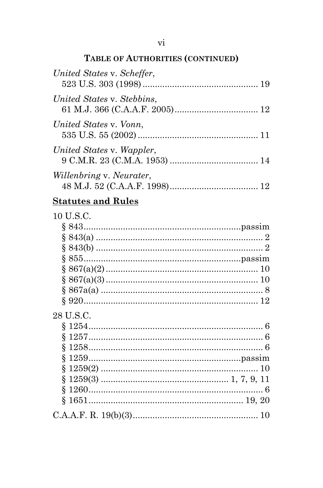# TABLE OF AUTHORITIES (CONTINUED)

| United States v. Scheffer,      |  |
|---------------------------------|--|
| United States v. Stebbins,      |  |
| United States v. Vonn,          |  |
| United States v. Wappler,       |  |
| <i>Willenbring v. Neurater,</i> |  |

# **Statutes and Rules**

| 10 U.S.C. |  |
|-----------|--|
|           |  |
|           |  |
|           |  |
|           |  |
|           |  |
|           |  |
|           |  |
|           |  |
| 28 U.S.C. |  |
|           |  |
|           |  |
|           |  |
|           |  |
|           |  |
|           |  |
|           |  |
|           |  |
|           |  |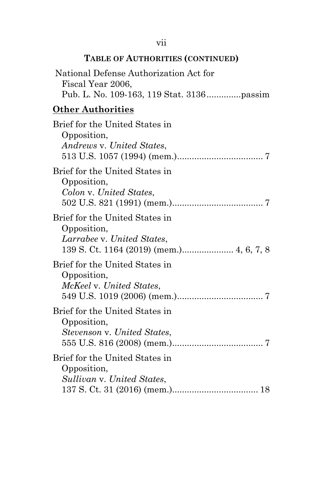# **TABLE OF AUTHORITIES (CONTINUED)**

| Fiscal Year 2006,        | National Defense Authorization Act for                        |  |
|--------------------------|---------------------------------------------------------------|--|
| <b>Other Authorities</b> |                                                               |  |
| Opposition,              | Brief for the United States in<br>Andrews v. United States,   |  |
| Opposition,              | Brief for the United States in<br>Colon v. United States,     |  |
| Opposition,              | Brief for the United States in<br>Larrabee v. United States,  |  |
| Opposition,              | Brief for the United States in<br>McKeel v. United States,    |  |
| Opposition,              | Brief for the United States in<br>Stevenson v. United States, |  |
| Opposition,              | Brief for the United States in<br>Sullivan v. United States,  |  |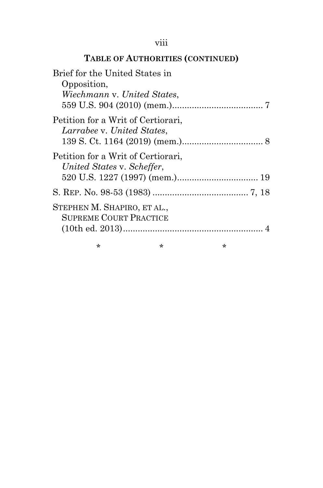### viii

# **TABLE OF AUTHORITIES (CONTINUED)**

| Brief for the United States in     |   |   |  |
|------------------------------------|---|---|--|
| Opposition,                        |   |   |  |
| Wiechmann v. United States,        |   |   |  |
|                                    |   |   |  |
| Petition for a Writ of Certiorari, |   |   |  |
| Larrabee v. United States,         |   |   |  |
|                                    |   |   |  |
| Petition for a Writ of Certiorari, |   |   |  |
| United States v. Scheffer,         |   |   |  |
|                                    |   |   |  |
|                                    |   |   |  |
| STEPHEN M. SHAPIRO, ET AL.,        |   |   |  |
| <b>SUPREME COURT PRACTICE</b>      |   |   |  |
|                                    |   |   |  |
| ÷                                  | * | * |  |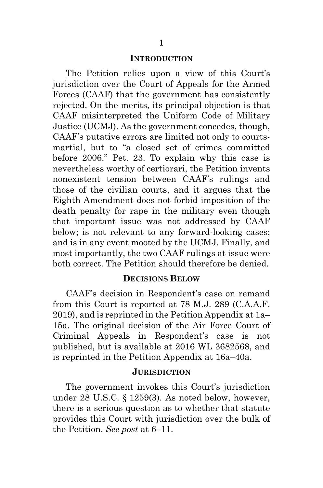#### **INTRODUCTION**

<span id="page-9-0"></span>The Petition relies upon a view of this Court's jurisdiction over the Court of Appeals for the Armed Forces (CAAF) that the government has consistently rejected. On the merits, its principal objection is that CAAF misinterpreted the Uniform Code of Military Justice (UCMJ). As the government concedes, though, CAAF's putative errors are limited not only to courtsmartial, but to "a closed set of crimes committed before 2006." Pet. 23. To explain why this case is nevertheless worthy of certiorari, the Petition invents nonexistent tension between CAAF's rulings and those of the civilian courts, and it argues that the Eighth Amendment does not forbid imposition of the death penalty for rape in the military even though that important issue was not addressed by CAAF below; is not relevant to any forward-looking cases; and is in any event mooted by the UCMJ. Finally, and most importantly, the two CAAF rulings at issue were both correct. The Petition should therefore be denied.

#### **DECISIONS BELOW**

<span id="page-9-1"></span>CAAF's decision in Respondent's case on remand from this Court is reported at 78 M.J. 289 (C.A.A.F. 2019), and is reprinted in the Petition Appendix at 1a– 15a. The original decision of the Air Force Court of Criminal Appeals in Respondent's case is not published, but is available at 2016 WL 3682568, and is reprinted in the Petition Appendix at 16a–40a.

#### **JURISDICTION**

<span id="page-9-2"></span>The government invokes this Court's jurisdiction under 28 U.S.C. § 1259(3). As noted below, however, there is a serious question as to whether that statute provides this Court with jurisdiction over the bulk of the Petition. *See post* at 6–11.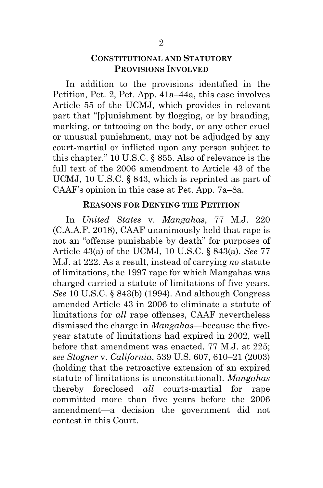### **CONSTITUTIONAL AND STATUTORY PROVISIONS INVOLVED**

<span id="page-10-0"></span>In addition to the provisions identified in the Petition, Pet. 2, Pet. App. 41a–44a, this case involves Article 55 of the UCMJ, which provides in relevant part that "[p]unishment by flogging, or by branding, marking, or tattooing on the body, or any other cruel or unusual punishment, may not be adjudged by any court-martial or inflicted upon any person subject to this chapter." 10 U.S.C. § 855. Also of relevance is the full text of the 2006 amendment to Article 43 of the UCMJ, 10 U.S.C. § 843, which is reprinted as part of CAAF's opinion in this case at Pet. App. 7a–8a.

### **REASONS FOR DENYING THE PETITION**

<span id="page-10-1"></span>In *United States* v. *Mangahas*, 77 M.J. 220 (C.A.A.F. 2018), CAAF unanimously held that rape is not an "offense punishable by death" for purposes of Article 43(a) of the UCMJ, 10 U.S.C. § 843(a). *See* 77 M.J. at 222. As a result, instead of carrying *no* statute of limitations, the 1997 rape for which Mangahas was charged carried a statute of limitations of five years. *See* 10 U.S.C. § 843(b) (1994). And although Congress amended Article 43 in 2006 to eliminate a statute of limitations for *all* rape offenses, CAAF nevertheless dismissed the charge in *Mangahas*—because the fiveyear statute of limitations had expired in 2002, well before that amendment was enacted. 77 M.J. at 225; *see Stogner* v. *California*, 539 U.S. 607, 610–21 (2003) (holding that the retroactive extension of an expired statute of limitations is unconstitutional). *Mangahas*  thereby foreclosed *all* courts-martial for rape committed more than five years before the 2006 amendment—a decision the government did not contest in this Court.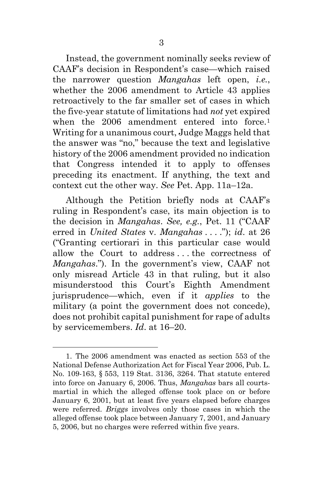Instead, the government nominally seeks review of CAAF's decision in Respondent's case—which raised the narrower question *Mangahas* left open, *i.e.*, whether the 2006 amendment to Article 43 applies retroactively to the far smaller set of cases in which the five-year statute of limitations had *not* yet expired when the 2006 amendment entered into force.<sup>[1](#page-11-0)</sup> Writing for a unanimous court, Judge Maggs held that the answer was "no," because the text and legislative history of the 2006 amendment provided no indication that Congress intended it to apply to offenses preceding its enactment. If anything, the text and context cut the other way. *See* Pet. App. 11a–12a.

Although the Petition briefly nods at CAAF's ruling in Respondent's case, its main objection is to the decision in *Mangahas*. *See, e.g.*, Pet. 11 ("CAAF erred in *United States* v. *Mangahas* . . . ."); *id*. at 26 ("Granting certiorari in this particular case would allow the Court to address . . . the correctness of *Mangahas*."). In the government's view, CAAF not only misread Article 43 in that ruling, but it also misunderstood this Court's Eighth Amendment jurisprudence—which, even if it *applies* to the military (a point the government does not concede), does not prohibit capital punishment for rape of adults by servicemembers. *Id*. at 16–20.

<span id="page-11-0"></span><sup>1.</sup> The 2006 amendment was enacted as section 553 of the National Defense Authorization Act for Fiscal Year 2006, Pub. L. No. 109-163, § 553, 119 Stat. 3136, 3264. That statute entered into force on January 6, 2006. Thus, *Mangahas* bars all courtsmartial in which the alleged offense took place on or before January 6, 2001, but at least five years elapsed before charges were referred. *Briggs* involves only those cases in which the alleged offense took place between January 7, 2001, and January 5, 2006, but no charges were referred within five years.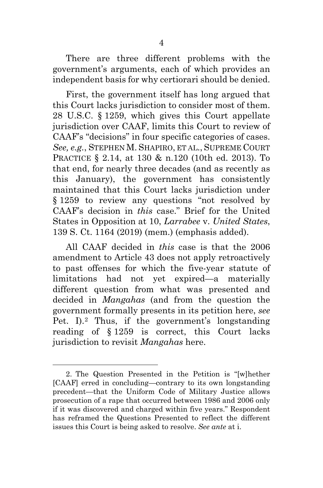There are three different problems with the government's arguments, each of which provides an independent basis for why certiorari should be denied.

First, the government itself has long argued that this Court lacks jurisdiction to consider most of them. 28 U.S.C. § 1259, which gives this Court appellate jurisdiction over CAAF, limits this Court to review of CAAF's "decisions" in four specific categories of cases. *See, e.g.*, STEPHEN M. SHAPIRO, ET AL., SUPREME COURT PRACTICE § 2.14, at 130 & n.120 (10th ed. 2013). To that end, for nearly three decades (and as recently as this January), the government has consistently maintained that this Court lacks jurisdiction under § 1259 to review any questions "not resolved by CAAF's decision in *this* case." Brief for the United States in Opposition at 10, *Larrabee* v. *United States*, 139 S. Ct. 1164 (2019) (mem.) (emphasis added).

All CAAF decided in *this* case is that the 2006 amendment to Article 43 does not apply retroactively to past offenses for which the five-year statute of limitations had not yet expired—a materially different question from what was presented and decided in *Mangahas* (and from the question the government formally presents in its petition here, *see*  Pet. I).[2](#page-12-0) Thus, if the government's longstanding reading of § 1259 is correct, this Court lacks jurisdiction to revisit *Mangahas* here.

<span id="page-12-0"></span><sup>2.</sup> The Question Presented in the Petition is "[w]hether [CAAF] erred in concluding—contrary to its own longstanding precedent—that the Uniform Code of Military Justice allows prosecution of a rape that occurred between 1986 and 2006 only if it was discovered and charged within five years." Respondent has reframed the Questions Presented to reflect the different issues this Court is being asked to resolve. *See ante* at i.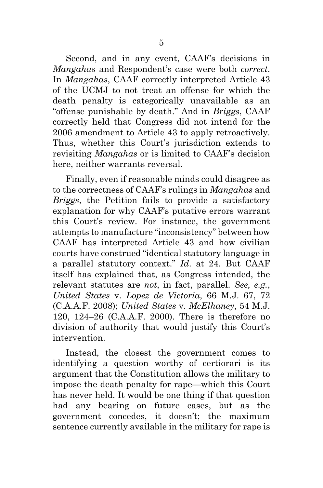Second, and in any event, CAAF's decisions in *Mangahas* and Respondent's case were both *correct*. In *Mangahas*, CAAF correctly interpreted Article 43 of the UCMJ to not treat an offense for which the death penalty is categorically unavailable as an "offense punishable by death." And in *Briggs*, CAAF correctly held that Congress did not intend for the 2006 amendment to Article 43 to apply retroactively. Thus, whether this Court's jurisdiction extends to revisiting *Mangahas* or is limited to CAAF's decision here, neither warrants reversal.

Finally, even if reasonable minds could disagree as to the correctness of CAAF's rulings in *Mangahas* and *Briggs*, the Petition fails to provide a satisfactory explanation for why CAAF's putative errors warrant this Court's review. For instance, the government attempts to manufacture "inconsistency" between how CAAF has interpreted Article 43 and how civilian courts have construed "identical statutory language in a parallel statutory context." *Id*. at 24. But CAAF itself has explained that, as Congress intended, the relevant statutes are *not*, in fact, parallel. *See, e.g.*, *United States* v. *Lopez de Victoria*, 66 M.J. 67, 72 (C.A.A.F. 2008); *United States* v. *McElhaney*, 54 M.J. 120, 124–26 (C.A.A.F. 2000). There is therefore no division of authority that would justify this Court's intervention.

Instead, the closest the government comes to identifying a question worthy of certiorari is its argument that the Constitution allows the military to impose the death penalty for rape—which this Court has never held. It would be one thing if that question had any bearing on future cases, but as the government concedes, it doesn't; the maximum sentence currently available in the military for rape is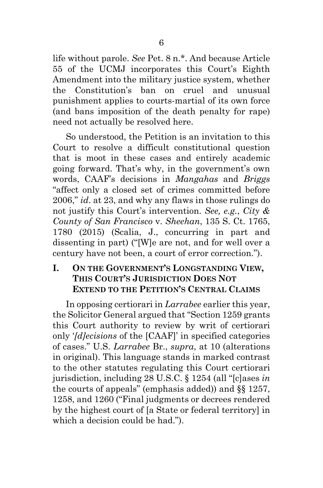life without parole. *See* Pet. 8 n.\*. And because Article 55 of the UCMJ incorporates this Court's Eighth Amendment into the military justice system, whether the Constitution's ban on cruel and unusual punishment applies to courts-martial of its own force (and bans imposition of the death penalty for rape) need not actually be resolved here.

So understood, the Petition is an invitation to this Court to resolve a difficult constitutional question that is moot in these cases and entirely academic going forward. That's why, in the government's own words, CAAF's decisions in *Mangahas* and *Briggs*  "affect only a closed set of crimes committed before 2006," *id*. at 23, and why any flaws in those rulings do not justify this Court's intervention. *See, e.g.*, *City & County of San Francisco* v. *Sheehan*, 135 S. Ct. 1765, 1780 (2015) (Scalia, J., concurring in part and dissenting in part) ("[W]e are not, and for well over a century have not been, a court of error correction.").

## <span id="page-14-0"></span>**I. ON THE GOVERNMENT'S LONGSTANDING VIEW, THIS COURT'S JURISDICTION DOES NOT EXTEND TO THE PETITION'S CENTRAL CLAIMS**

In opposing certiorari in *Larrabee* earlier this year, the Solicitor General argued that "Section 1259 grants this Court authority to review by writ of certiorari only '*[d]ecisions* of the [CAAF]' in specified categories of cases." U.S. *Larrabee* Br., *supra*, at 10 (alterations in original). This language stands in marked contrast to the other statutes regulating this Court certiorari jurisdiction, including 28 U.S.C. § 1254 (all "[c]ases *in* the courts of appeals" (emphasis added)) and §§ 1257, 1258, and 1260 ("Final judgments or decrees rendered by the highest court of [a State or federal territory] in which a decision could be had.").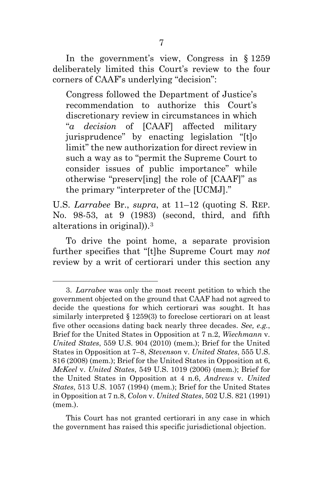In the government's view, Congress in § 1259 deliberately limited this Court's review to the four corners of CAAF's underlying "decision":

Congress followed the Department of Justice's recommendation to authorize this Court's discretionary review in circumstances in which "*a decision* of [CAAF] affected military jurisprudence" by enacting legislation "[t]o limit" the new authorization for direct review in such a way as to "permit the Supreme Court to consider issues of public importance" while otherwise "preserv[ing] the role of [CAAF]" as the primary "interpreter of the [UCMJ]."

U.S. *Larrabee* Br., *supra*, at 11–12 (quoting S. REP. No. 98-53, at 9 (1983) (second, third, and fifth alterations in original)).[3](#page-15-0) 

To drive the point home, a separate provision further specifies that "[t]he Supreme Court may *not* review by a writ of certiorari under this section any

<span id="page-15-0"></span><sup>3.</sup> *Larrabee* was only the most recent petition to which the government objected on the ground that CAAF had not agreed to decide the questions for which certiorari was sought. It has similarly interpreted § 1259(3) to foreclose certiorari on at least five other occasions dating back nearly three decades. *See, e.g.*, Brief for the United States in Opposition at 7 n.2, *Wiechmann* v. *United States*, 559 U.S. 904 (2010) (mem.); Brief for the United States in Opposition at 7–8, *Stevenson* v. *United States*, 555 U.S. 816 (2008) (mem.); Brief for the United States in Opposition at 6, *McKeel* v. *United States*, 549 U.S. 1019 (2006) (mem.); Brief for the United States in Opposition at 4 n.6, *Andrews* v. *United States*, 513 U.S. 1057 (1994) (mem.); Brief for the United States in Opposition at 7 n.8, *Colon* v. *United States*, 502 U.S. 821 (1991) (mem.).

This Court has not granted certiorari in any case in which the government has raised this specific jurisdictional objection.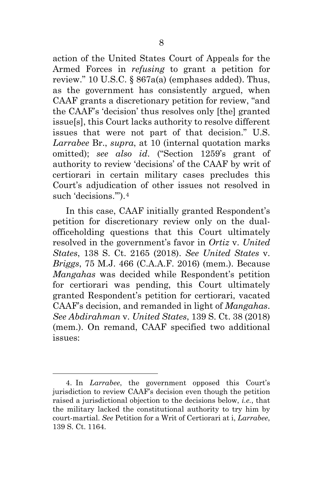action of the United States Court of Appeals for the Armed Forces in *refusing* to grant a petition for review." 10 U.S.C. § 867a(a) (emphases added). Thus, as the government has consistently argued, when CAAF grants a discretionary petition for review, "and the CAAF's 'decision' thus resolves only [the] granted issue[s], this Court lacks authority to resolve different issues that were not part of that decision." U.S. *Larrabee* Br., *supra*, at 10 (internal quotation marks omitted); *see also id*. ("Section 1259's grant of authority to review 'decisions' of the CAAF by writ of certiorari in certain military cases precludes this Court's adjudication of other issues not resolved in such 'decisions.").<sup>[4](#page-16-0)</sup>

In this case, CAAF initially granted Respondent's petition for discretionary review only on the dualofficeholding questions that this Court ultimately resolved in the government's favor in *Ortiz* v. *United States*, 138 S. Ct. 2165 (2018). *See United States* v. *Briggs*, 75 M.J. 466 (C.A.A.F. 2016) (mem.). Because *Mangahas* was decided while Respondent's petition for certiorari was pending, this Court ultimately granted Respondent's petition for certiorari, vacated CAAF's decision, and remanded in light of *Mangahas*. *See Abdirahman* v. *United States*, 139 S. Ct. 38 (2018) (mem.). On remand, CAAF specified two additional issues:

<span id="page-16-0"></span><sup>4.</sup> In *Larrabee*, the government opposed this Court's jurisdiction to review CAAF's decision even though the petition raised a jurisdictional objection to the decisions below, *i.e.*, that the military lacked the constitutional authority to try him by court-martial. *See* Petition for a Writ of Certiorari at i, *Larrabee*, 139 S. Ct. 1164.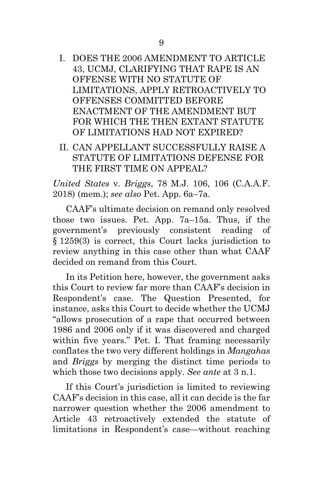- I. DOES THE 2006 AMENDMENT TO ARTICLE 43, UCMJ, CLARIFYING THAT RAPE IS AN OFFENSE WITH NO STATUTE OF LIMITATIONS, APPLY RETROACTIVELY TO OFFENSES COMMITTED BEFORE ENACTMENT OF THE AMENDMENT BUT FOR WHICH THE THEN EXTANT STATUTE OF LIMITATIONS HAD NOT EXPIRED?
- II. CAN APPELLANT SUCCESSFULLY RAISE A STATUTE OF LIMITATIONS DEFENSE FOR THE FIRST TIME ON APPEAL?

*United States* v. *Briggs*, 78 M.J. 106, 106 (C.A.A.F. 2018) (mem.); *see also* Pet. App. 6a–7a.

CAAF's ultimate decision on remand only resolved those two issues. Pet. App. 7a–15a. Thus, if the government's previously consistent reading of § 1259(3) is correct, this Court lacks jurisdiction to review anything in this case other than what CAAF decided on remand from this Court.

In its Petition here, however, the government asks this Court to review far more than CAAF's decision in Respondent's case. The Question Presented, for instance, asks this Court to decide whether the UCMJ "allows prosecution of a rape that occurred between 1986 and 2006 only if it was discovered and charged within five years." Pet. I. That framing necessarily conflates the two very different holdings in *Mangahas* and *Briggs* by merging the distinct time periods to which those two decisions apply. *See ante* at 3 n.1.

If this Court's jurisdiction is limited to reviewing CAAF's decision in this case, all it can decide is the far narrower question whether the 2006 amendment to Article 43 retroactively extended the statute of limitations in Respondent's case—without reaching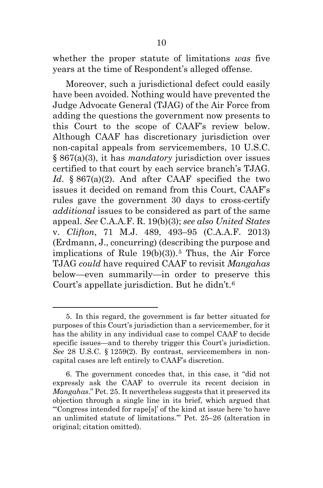whether the proper statute of limitations *was* five years at the time of Respondent's alleged offense.

Moreover, such a jurisdictional defect could easily have been avoided. Nothing would have prevented the Judge Advocate General (TJAG) of the Air Force from adding the questions the government now presents to this Court to the scope of CAAF's review below. Although CAAF has discretionary jurisdiction over non-capital appeals from servicemembers, 10 U.S.C. § 867(a)(3), it has *mandatory* jurisdiction over issues certified to that court by each service branch's TJAG. Id. § 867(a)(2). And after CAAF specified the two issues it decided on remand from this Court, CAAF's rules gave the government 30 days to cross-certify *additional* issues to be considered as part of the same appeal. *See* C.A.A.F. R. 19(b)(3); *see also United States*  v. *Clifton*, 71 M.J. 489, 493–95 (C.A.A.F. 2013) (Erdmann, J., concurring) (describing the purpose and implications of Rule  $19(b)(3)$ .<sup>[5](#page-18-0)</sup> Thus, the Air Force TJAG *could* have required CAAF to revisit *Mangahas* below—even summarily—in order to preserve this Court's appellate jurisdiction. But he didn't.[6](#page-18-1)

<span id="page-18-0"></span><sup>5.</sup> In this regard, the government is far better situated for purposes of this Court's jurisdiction than a servicemember, for it has the ability in any individual case to compel CAAF to decide specific issues—and to thereby trigger this Court's jurisdiction. *See* 28 U.S.C. § 1259(2). By contrast, servicemembers in noncapital cases are left entirely to CAAF's discretion.

<span id="page-18-1"></span><sup>6.</sup> The government concedes that, in this case, it "did not expressly ask the CAAF to overrule its recent decision in *Mangahas*." Pet. 25. It nevertheless suggests that it preserved its objection through a single line in its brief, which argued that "'Congress intended for rape[s]' of the kind at issue here 'to have an unlimited statute of limitations.'" Pet. 25–26 (alteration in original; citation omitted).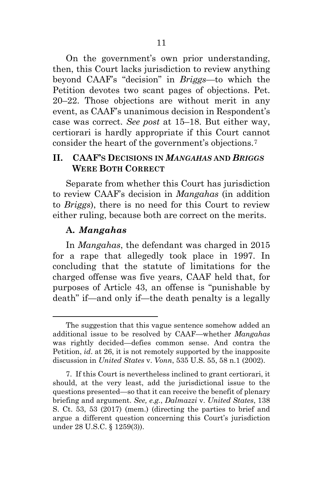On the government's own prior understanding, then, this Court lacks jurisdiction to review anything beyond CAAF's "decision" in *Briggs*—to which the Petition devotes two scant pages of objections. Pet. 20–22. Those objections are without merit in any event, as CAAF's unanimous decision in Respondent's case was correct. *See post* at 15–18. But either way, certiorari is hardly appropriate if this Court cannot consider the heart of the government's objections.[7](#page-19-2)

### <span id="page-19-0"></span>**II. CAAF'S DECISIONS IN** *MANGAHAS* **AND** *BRIGGS* **WERE BOTH CORRECT**

Separate from whether this Court has jurisdiction to review CAAF's decision in *Mangahas* (in addition to *Briggs*), there is no need for this Court to review either ruling, because both are correct on the merits.

### <span id="page-19-1"></span>**A.** *Mangahas*

In *Mangahas*, the defendant was charged in 2015 for a rape that allegedly took place in 1997. In concluding that the statute of limitations for the charged offense was five years, CAAF held that, for purposes of Article 43, an offense is "punishable by death" if—and only if—the death penalty is a legally

The suggestion that this vague sentence somehow added an additional issue to be resolved by CAAF—whether *Mangahas* was rightly decided—defies common sense. And contra the Petition, *id*. at 26, it is not remotely supported by the inapposite discussion in *United States* v. *Vonn*, 535 U.S. 55, 58 n.1 (2002).

<span id="page-19-2"></span><sup>7.</sup> If this Court is nevertheless inclined to grant certiorari, it should, at the very least, add the jurisdictional issue to the questions presented—so that it can receive the benefit of plenary briefing and argument. *See, e.g.*, *Dalmazzi* v. *United States*, 138 S. Ct. 53, 53 (2017) (mem.) (directing the parties to brief and argue a different question concerning this Court's jurisdiction under 28 U.S.C. § 1259(3)).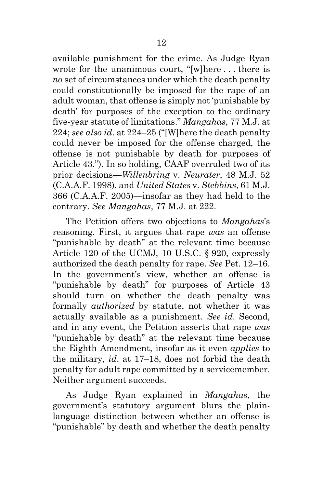available punishment for the crime. As Judge Ryan wrote for the unanimous court, "[w]here . . . there is *no* set of circumstances under which the death penalty could constitutionally be imposed for the rape of an adult woman, that offense is simply not 'punishable by death' for purposes of the exception to the ordinary five-year statute of limitations." *Mangahas*, 77 M.J. at 224; *see also id*. at 224–25 ("[W]here the death penalty could never be imposed for the offense charged, the offense is not punishable by death for purposes of Article 43."). In so holding, CAAF overruled two of its prior decisions—*Willenbring* v. *Neurater*, 48 M.J. 52 (C.A.A.F. 1998), and *United States* v. *Stebbins*, 61 M.J. 366 (C.A.A.F. 2005)—insofar as they had held to the contrary. *See Mangahas*, 77 M.J. at 222.

The Petition offers two objections to *Mangahas*'s reasoning. First, it argues that rape *was* an offense "punishable by death" at the relevant time because Article 120 of the UCMJ, 10 U.S.C. § 920, expressly authorized the death penalty for rape. *See* Pet. 12–16. In the government's view, whether an offense is "punishable by death" for purposes of Article 43 should turn on whether the death penalty was formally *authorized* by statute, not whether it was actually available as a punishment. *See id*. Second, and in any event, the Petition asserts that rape *was* "punishable by death" at the relevant time because the Eighth Amendment, insofar as it even *applies* to the military, *id*. at 17–18, does not forbid the death penalty for adult rape committed by a servicemember. Neither argument succeeds.

As Judge Ryan explained in *Mangahas*, the government's statutory argument blurs the plainlanguage distinction between whether an offense is "punishable" by death and whether the death penalty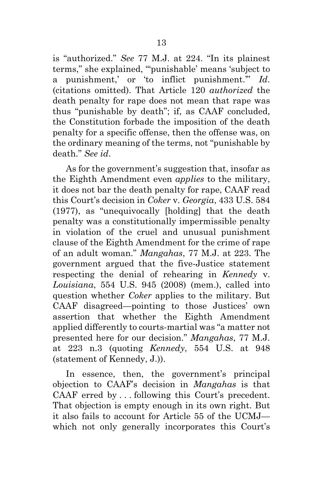is "authorized." *See* 77 M.J. at 224. "In its plainest terms," she explained, "'punishable' means 'subject to a punishment,' or 'to inflict punishment.'" *Id*. (citations omitted). That Article 120 *authorized* the death penalty for rape does not mean that rape was thus "punishable by death"; if, as CAAF concluded, the Constitution forbade the imposition of the death penalty for a specific offense, then the offense was, on the ordinary meaning of the terms, not "punishable by death." *See id*.

As for the government's suggestion that, insofar as the Eighth Amendment even *applies* to the military, it does not bar the death penalty for rape, CAAF read this Court's decision in *Coker* v. *Georgia*, 433 U.S. 584 (1977), as "unequivocally [holding] that the death penalty was a constitutionally impermissible penalty in violation of the cruel and unusual punishment clause of the Eighth Amendment for the crime of rape of an adult woman." *Mangahas*, 77 M.J. at 223. The government argued that the five-Justice statement respecting the denial of rehearing in *Kennedy* v. *Louisiana*, 554 U.S. 945 (2008) (mem.), called into question whether *Coker* applies to the military. But CAAF disagreed—pointing to those Justices' own assertion that whether the Eighth Amendment applied differently to courts-martial was "a matter not presented here for our decision." *Mangahas*, 77 M.J. at 223 n.3 (quoting *Kennedy*, 554 U.S. at 948 (statement of Kennedy, J.)).

In essence, then, the government's principal objection to CAAF's decision in *Mangahas* is that CAAF erred by . . . following this Court's precedent. That objection is empty enough in its own right. But it also fails to account for Article 55 of the UCMJ which not only generally incorporates this Court's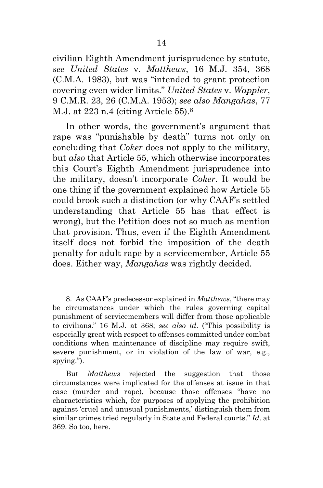civilian Eighth Amendment jurisprudence by statute, *see United States* v. *Matthews*, 16 M.J. 354, 368 (C.M.A. 1983), but was "intended to grant protection covering even wider limits." *United States* v. *Wappler*, 9 C.M.R. 23, 26 (C.M.A. 1953); *see also Mangahas*, 77 M.J. at 223 n.4 (citing Article 55).[8](#page-22-0) 

In other words, the government's argument that rape was "punishable by death" turns not only on concluding that *Coker* does not apply to the military, but *also* that Article 55, which otherwise incorporates this Court's Eighth Amendment jurisprudence into the military, doesn't incorporate *Coker*. It would be one thing if the government explained how Article 55 could brook such a distinction (or why CAAF's settled understanding that Article 55 has that effect is wrong), but the Petition does not so much as mention that provision. Thus, even if the Eighth Amendment itself does not forbid the imposition of the death penalty for adult rape by a servicemember, Article 55 does. Either way, *Mangahas* was rightly decided.

<span id="page-22-0"></span><sup>8.</sup> As CAAF's predecessor explained in *Matthews*, "there may be circumstances under which the rules governing capital punishment of servicemembers will differ from those applicable to civilians." 16 M.J. at 368; *see also id*. ("This possibility is especially great with respect to offenses committed under combat conditions when maintenance of discipline may require swift, severe punishment, or in violation of the law of war, e.g., spying.").

But *Matthews* rejected the suggestion that those circumstances were implicated for the offenses at issue in that case (murder and rape), because those offenses "have no characteristics which, for purposes of applying the prohibition against 'cruel and unusual punishments,' distinguish them from similar crimes tried regularly in State and Federal courts." *Id*. at 369. So too, here.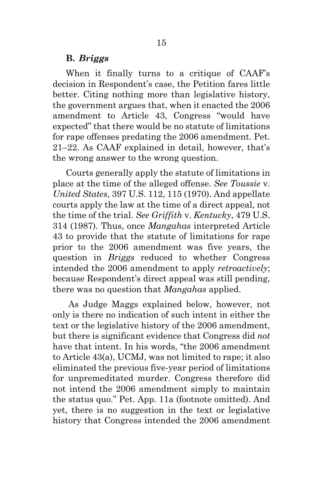#### <span id="page-23-0"></span>**B.** *Briggs*

When it finally turns to a critique of CAAF's decision in Respondent's case, the Petition fares little better. Citing nothing more than legislative history, the government argues that, when it enacted the 2006 amendment to Article 43, Congress "would have expected" that there would be no statute of limitations for rape offenses predating the 2006 amendment. Pet. 21–22. As CAAF explained in detail, however, that's the wrong answer to the wrong question.

Courts generally apply the statute of limitations in place at the time of the alleged offense. *See Toussie* v. *United States*, 397 U.S. 112, 115 (1970). And appellate courts apply the law at the time of a direct appeal, not the time of the trial. *See Griffith* v. *Kentucky*, 479 U.S. 314 (1987). Thus, once *Mangahas* interpreted Article 43 to provide that the statute of limitations for rape prior to the 2006 amendment was five years, the question in *Briggs* reduced to whether Congress intended the 2006 amendment to apply *retroactively*; because Respondent's direct appeal was still pending, there was no question that *Mangahas* applied.

As Judge Maggs explained below, however, not only is there no indication of such intent in either the text or the legislative history of the 2006 amendment, but there is significant evidence that Congress did *not* have that intent. In his words, "the 2006 amendment to Article 43(a), UCMJ, was not limited to rape; it also eliminated the previous five-year period of limitations for unpremeditated murder. Congress therefore did not intend the 2006 amendment simply to maintain the status quo." Pet. App. 11a (footnote omitted). And yet, there is no suggestion in the text or legislative history that Congress intended the 2006 amendment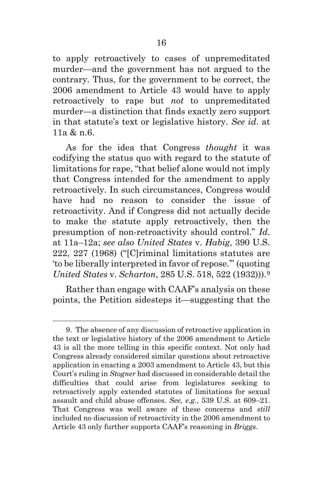to apply retroactively to cases of unpremeditated murder—and the government has not argued to the contrary. Thus, for the government to be correct, the 2006 amendment to Article 43 would have to apply retroactively to rape but *not* to unpremeditated murder—a distinction that finds exactly zero support in that statute's text or legislative history. *See id*. at 11a & n.6.

As for the idea that Congress *thought* it was codifying the status quo with regard to the statute of limitations for rape, "that belief alone would not imply that Congress intended for the amendment to apply retroactively. In such circumstances, Congress would have had no reason to consider the issue of retroactivity. And if Congress did not actually decide to make the statute apply retroactively, then the presumption of non-retroactivity should control." *Id*. at 11a–12a; *see also United States* v. *Habig*, 390 U.S. 222, 227 (1968) ("[C]riminal limitations statutes are 'to be liberally interpreted in favor of repose.'" (quoting *United States* v. *Scharton*, 285 U.S. 518, 522 (1932))).[9](#page-24-0)

Rather than engage with CAAF's analysis on these points, the Petition sidesteps it—suggesting that the

<span id="page-24-0"></span><sup>9.</sup> The absence of any discussion of retroactive application in the text or legislative history of the 2006 amendment to Article 43 is all the more telling in this specific context. Not only had Congress already considered similar questions about retroactive application in enacting a 2003 amendment to Article 43, but this Court's ruling in *Stogner* had discussed in considerable detail the difficulties that could arise from legislatures seeking to retroactively apply extended statutes of limitations for sexual assault and child abuse offenses. *See, e.g.*, 539 U.S. at 609–21. That Congress was well aware of these concerns and *still* included no discussion of retroactivity in the 2006 amendment to Article 43 only further supports CAAF's reasoning in *Briggs*.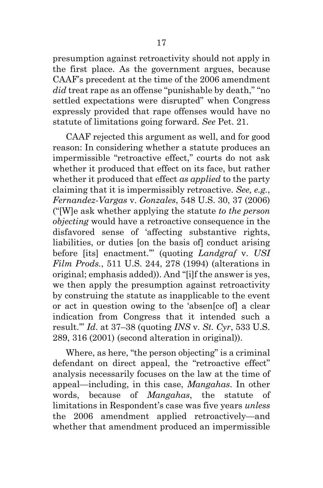presumption against retroactivity should not apply in the first place. As the government argues, because CAAF's precedent at the time of the 2006 amendment *did* treat rape as an offense "punishable by death," "no settled expectations were disrupted" when Congress expressly provided that rape offenses would have no statute of limitations going forward. *See* Pet. 21.

CAAF rejected this argument as well, and for good reason: In considering whether a statute produces an impermissible "retroactive effect," courts do not ask whether it produced that effect on its face, but rather whether it produced that effect *as applied* to the party claiming that it is impermissibly retroactive. *See, e.g.*, *Fernandez-Vargas* v. *Gonzales*, 548 U.S. 30, 37 (2006) ("[W]e ask whether applying the statute *to the person objecting* would have a retroactive consequence in the disfavored sense of 'affecting substantive rights, liabilities, or duties [on the basis of] conduct arising before [its] enactment.'" (quoting *Landgraf* v. *USI Film Prods.*, 511 U.S. 244, 278 (1994) (alterations in original; emphasis added)). And "[i]f the answer is yes, we then apply the presumption against retroactivity by construing the statute as inapplicable to the event or act in question owing to the 'absen[ce of] a clear indication from Congress that it intended such a result.'" *Id*. at 37–38 (quoting *INS* v. *St. Cyr*, 533 U.S. 289, 316 (2001) (second alteration in original)).

Where, as here, "the person objecting" is a criminal defendant on direct appeal, the "retroactive effect" analysis necessarily focuses on the law at the time of appeal—including, in this case, *Mangahas*. In other words, because of *Mangahas*, the statute of limitations in Respondent's case was five years *unless* the 2006 amendment applied retroactively—and whether that amendment produced an impermissible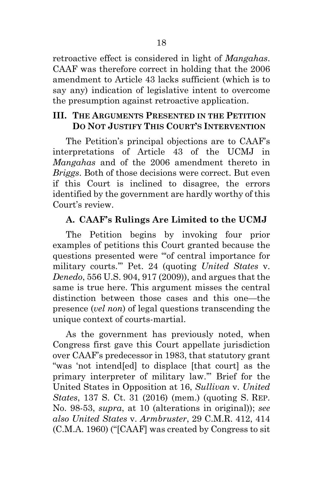retroactive effect is considered in light of *Mangahas*. CAAF was therefore correct in holding that the 2006 amendment to Article 43 lacks sufficient (which is to say any) indication of legislative intent to overcome the presumption against retroactive application.

### <span id="page-26-0"></span>**III. THE ARGUMENTS PRESENTED IN THE PETITION DO NOT JUSTIFY THIS COURT'S INTERVENTION**

The Petition's principal objections are to CAAF's interpretations of Article 43 of the UCMJ in *Mangahas* and of the 2006 amendment thereto in *Briggs*. Both of those decisions were correct. But even if this Court is inclined to disagree, the errors identified by the government are hardly worthy of this Court's review.

# <span id="page-26-1"></span>**A. CAAF's Rulings Are Limited to the UCMJ**

The Petition begins by invoking four prior examples of petitions this Court granted because the questions presented were "'of central importance for military courts.'" Pet. 24 (quoting *United States* v. *Denedo*, 556 U.S. 904, 917 (2009)), and argues that the same is true here. This argument misses the central distinction between those cases and this one—the presence (*vel non*) of legal questions transcending the unique context of courts-martial.

As the government has previously noted, when Congress first gave this Court appellate jurisdiction over CAAF's predecessor in 1983, that statutory grant "was 'not intend[ed] to displace [that court] as the primary interpreter of military law.'" Brief for the United States in Opposition at 16, *Sullivan* v. *United States*, 137 S. Ct. 31 (2016) (mem.) (quoting S. REP. No. 98-53, *supra*, at 10 (alterations in original)); *see also United States* v. *Armbruster*, 29 C.M.R. 412, 414 (C.M.A. 1960) ("[CAAF] was created by Congress to sit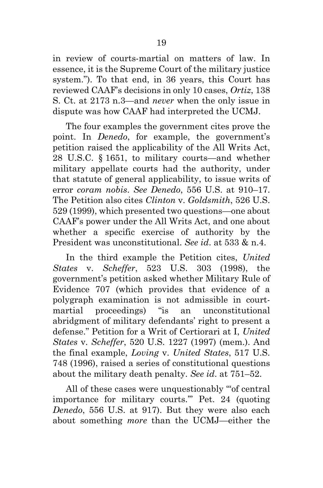in review of courts-martial on matters of law. In essence, it is the Supreme Court of the military justice system."). To that end, in 36 years, this Court has reviewed CAAF's decisions in only 10 cases, *Ortiz*, 138 S. Ct. at 2173 n.3—and *never* when the only issue in dispute was how CAAF had interpreted the UCMJ.

The four examples the government cites prove the point. In *Denedo*, for example, the government's petition raised the applicability of the All Writs Act, 28 U.S.C. § 1651, to military courts—and whether military appellate courts had the authority, under that statute of general applicability, to issue writs of error *coram nobis*. *See Denedo*, 556 U.S. at 910–17. The Petition also cites *Clinton* v. *Goldsmith*, 526 U.S. 529 (1999), which presented two questions—one about CAAF's power under the All Writs Act, and one about whether a specific exercise of authority by the President was unconstitutional. *See id*. at 533 & n.4.

In the third example the Petition cites, *United States* v. *Scheffer*, 523 U.S. 303 (1998), the government's petition asked whether Military Rule of Evidence 707 (which provides that evidence of a polygraph examination is not admissible in courtmartial proceedings) "is an unconstitutional abridgment of military defendants' right to present a defense." Petition for a Writ of Certiorari at I, *United States* v. *Scheffer*, 520 U.S. 1227 (1997) (mem.). And the final example, *Loving* v. *United States*, 517 U.S. 748 (1996), raised a series of constitutional questions about the military death penalty. *See id*. at 751–52.

All of these cases were unquestionably "'of central importance for military courts.'" Pet. 24 (quoting *Denedo*, 556 U.S. at 917). But they were also each about something *more* than the UCMJ—either the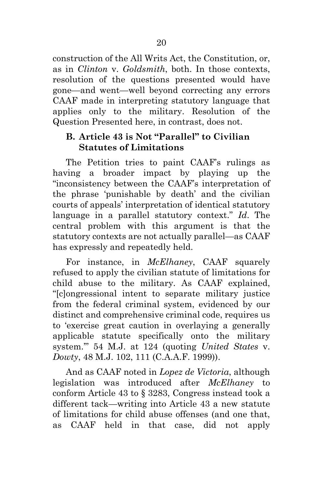construction of the All Writs Act, the Constitution, or, as in *Clinton* v. *Goldsmith*, both. In those contexts, resolution of the questions presented would have gone—and went—well beyond correcting any errors CAAF made in interpreting statutory language that applies only to the military. Resolution of the Question Presented here, in contrast, does not.

# <span id="page-28-0"></span>**B. Article 43 is Not "Parallel" to Civilian Statutes of Limitations**

The Petition tries to paint CAAF's rulings as having a broader impact by playing up the "inconsistency between the CAAF's interpretation of the phrase 'punishable by death' and the civilian courts of appeals' interpretation of identical statutory language in a parallel statutory context." *Id*. The central problem with this argument is that the statutory contexts are not actually parallel—as CAAF has expressly and repeatedly held.

For instance, in *McElhaney*, CAAF squarely refused to apply the civilian statute of limitations for child abuse to the military. As CAAF explained, "[c]ongressional intent to separate military justice from the federal criminal system, evidenced by our distinct and comprehensive criminal code, requires us to 'exercise great caution in overlaying a generally applicable statute specifically onto the military system.'" 54 M.J. at 124 (quoting *United States* v. *Dowty*, 48 M.J. 102, 111 (C.A.A.F. 1999)).

And as CAAF noted in *Lopez de Victoria*, although legislation was introduced after *McElhaney* to conform Article 43 to § 3283, Congress instead took a different tack—writing into Article 43 a new statute of limitations for child abuse offenses (and one that, as CAAF held in that case, did not apply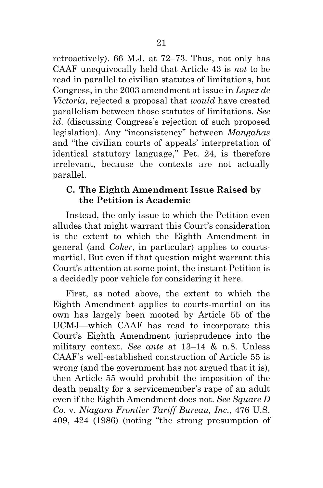retroactively). 66 M.J. at 72–73. Thus, not only has CAAF unequivocally held that Article 43 is *not* to be read in parallel to civilian statutes of limitations, but Congress, in the 2003 amendment at issue in *Lopez de Victoria*, rejected a proposal that *would* have created parallelism between those statutes of limitations. *See id*. (discussing Congress's rejection of such proposed legislation). Any "inconsistency" between *Mangahas* and "the civilian courts of appeals' interpretation of identical statutory language," Pet. 24, is therefore irrelevant, because the contexts are not actually parallel.

### <span id="page-29-0"></span>**C. The Eighth Amendment Issue Raised by the Petition is Academic**

Instead, the only issue to which the Petition even alludes that might warrant this Court's consideration is the extent to which the Eighth Amendment in general (and *Coker*, in particular) applies to courtsmartial. But even if that question might warrant this Court's attention at some point, the instant Petition is a decidedly poor vehicle for considering it here.

First, as noted above, the extent to which the Eighth Amendment applies to courts-martial on its own has largely been mooted by Article 55 of the UCMJ—which CAAF has read to incorporate this Court's Eighth Amendment jurisprudence into the military context. *See ante* at 13–14 & n.8. Unless CAAF's well-established construction of Article 55 is wrong (and the government has not argued that it is), then Article 55 would prohibit the imposition of the death penalty for a servicemember's rape of an adult even if the Eighth Amendment does not. *See Square D Co.* v. *Niagara Frontier Tariff Bureau, Inc.*, 476 U.S. 409, 424 (1986) (noting "the strong presumption of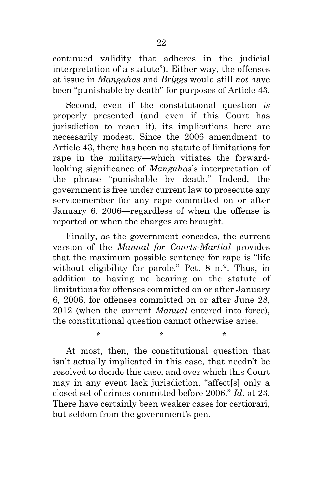continued validity that adheres in the judicial interpretation of a statute"). Either way, the offenses at issue in *Mangahas* and *Briggs* would still *not* have been "punishable by death" for purposes of Article 43.

Second, even if the constitutional question *is*  properly presented (and even if this Court has jurisdiction to reach it), its implications here are necessarily modest. Since the 2006 amendment to Article 43, there has been no statute of limitations for rape in the military—which vitiates the forwardlooking significance of *Mangahas*'s interpretation of the phrase "punishable by death." Indeed, the government is free under current law to prosecute any servicemember for any rape committed on or after January 6, 2006—regardless of when the offense is reported or when the charges are brought.

Finally, as the government concedes, the current version of the *Manual for Courts-Martial* provides that the maximum possible sentence for rape is "life without eligibility for parole." Pet. 8 n.\*. Thus, in addition to having no bearing on the statute of limitations for offenses committed on or after January 6, 2006, for offenses committed on or after June 28, 2012 (when the current *Manual* entered into force), the constitutional question cannot otherwise arise.

At most, then, the constitutional question that isn't actually implicated in this case, that needn't be resolved to decide this case, and over which this Court may in any event lack jurisdiction, "affect[s] only a closed set of crimes committed before 2006." *Id*. at 23. There have certainly been weaker cases for certiorari, but seldom from the government's pen.

 $\star$  \* \* \*